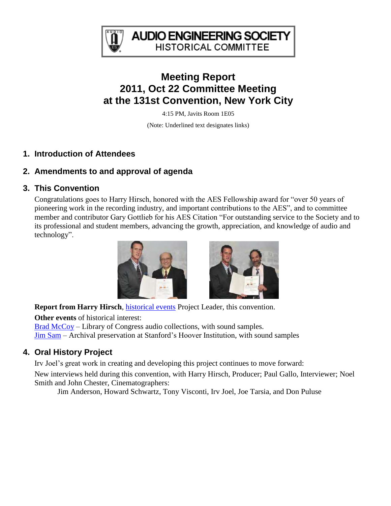

**AUDIO ENGINEERING SOCIETY HISTORICAL COMMITTEE** 

# **Meeting Report 2011, Oct 22 Committee Meeting at the 131st Convention, New York City**

4:15 PM, Javits Room 1E05

(Note: Underlined text designates links)

### **1. Introduction of Attendees**

## **2. Amendments to and approval of agenda**

### **3. This Convention**

Congratulations goes to Harry Hirsch, honored with the AES Fellowship award for "over 50 years of pioneering work in the recording industry, and important contributions to the AES", and to committee member and contributor Gary Gottlieb for his AES Citation "For outstanding service to the Society and to its professional and student members, advancing the growth, appreciation, and knowledge of audio and technology".



**Report from Harry Hirsch**, *historical events* Project Leader, this convention.

**Other events** of historical interest:

[Brad McCoy](http://www.aes.org/events/131/tutorials/?ID=2857) – Library of Congress audio collections, with sound samples. [Jim Sam](http://www.aes.org/events/131/tutorials/?ID=2882) – Archival preservation at Stanford's Hoover Institution, with sound samples

## **4. Oral History Project**

Irv Joel's great work in creating and developing this project continues to move forward:

New interviews held during this convention, with Harry Hirsch, Producer; Paul Gallo, Interviewer; Noel Smith and John Chester, Cinematographers:

Jim Anderson, Howard Schwartz, Tony Visconti, Irv Joel, Joe Tarsia, and Don Puluse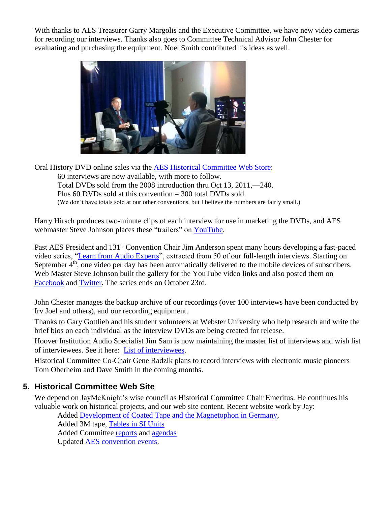With thanks to AES Treasurer Garry Margolis and the Executive Committee, we have new video cameras for recording our interviews. Thanks also goes to Committee Technical Advisor John Chester for evaluating and purchasing the equipment. Noel Smith contributed his ideas as well.



Oral History DVD online sales via the [AES Historical Committee Web Store:](http://www.aes.org/historical/store/oralhistory/) 60 interviews are now available, with more to follow. Total DVDs sold from the 2008 introduction thru Oct 13, 2011,—240. Plus 60 DVDs sold at this convention = 300 total DVDs sold. (We don't have totals sold at our other conventions, but I believe the numbers are fairly small.)

Harry Hirsch produces two-minute clips of each interview for use in marketing the DVDs, and AES webmaster Steve Johnson places these "trailers" on [YouTube.](http://www.youtube.com/results?search_query=AES+Oral+History&aq=f)

Past AES President and 131<sup>st</sup> Convention Chair Jim Anderson spent many hours developing a fast-paced video series, ["Learn from Audio Experts"](http://www.aes.org/historical/oral/), extracted from 50 of our full-length interviews. Starting on September  $4<sup>th</sup>$ , one video per day has been automatically delivered to the mobile devices of subscribers. Web Master Steve Johnson built the gallery for the YouTube video links and also posted them on [Facebook](http://www.aes.org/community/facebook/) and [Twitter.](http://www.aes.org/community/twitter/) The series ends on October 23rd.

John Chester manages the backup archive of our recordings (over 100 interviews have been conducted by Irv Joel and others), and our recording equipment.

Thanks to Gary Gottlieb and his student volunteers at Webster University who help research and write the brief bios on each individual as the interview DVDs are being created for release.

Hoover Institution Audio Specialist Jim Sam is now maintaining the master list of interviews and wish list of interviewees. See it here: [List of interviewees.](http://www.aes.org/aeshc/docs/oralhist/interview-list.pdf)

Historical Committee Co-Chair Gene Radzik plans to record interviews with electronic music pioneers Tom Oberheim and Dave Smith in the coming months.

#### **5. Historical Committee Web Site**

We depend on JayMcKnight's wise council as Historical Committee Chair Emeritus. He continues his valuable work on historical projects, and our web site content. Recent website work by Jay:

Added [Development of Coated Tape and the Magnetophon in Germany,](http://www.aes.org/aeshc/docs/magnetic-recording/magnetophon/development-of-the-magnetophon.html) Added 3M tape, [Tables in SI Units](http://www.aes.org/aeshc/docs/3mtape/aorprod-si.pdf) Added Committee [reports](http://www.aes.org/aeshc/committee.repts.html) and [agendas](http://www.aes.org/aeshc/agendas.html) Updated [AES convention events.](http://www.aes.org/aeshc/hcactivities.html)